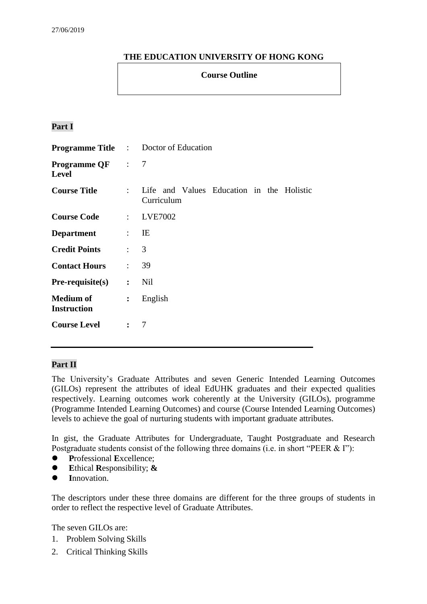# **THE EDUCATION UNIVERSITY OF HONG KONG**

### **Course Outline**

# **Part I**

|                                         |                | <b>Programme Title :</b> Doctor of Education            |  |  |  |
|-----------------------------------------|----------------|---------------------------------------------------------|--|--|--|
| <b>Programme QF</b> : 7<br><b>Level</b> |                |                                                         |  |  |  |
| <b>Course Title</b>                     | $\mathcal{L}$  | Life and Values Education in the Holistic<br>Curriculum |  |  |  |
| <b>Course Code</b>                      |                | : LVE7002                                               |  |  |  |
| <b>Department</b>                       | $\mathbf{E}$   |                                                         |  |  |  |
| <b>Credit Points</b>                    | $\therefore$ 3 |                                                         |  |  |  |
| <b>Contact Hours</b>                    | $\mathbf{r}$   | 39                                                      |  |  |  |
| $Pre-requisite(s)$                      | $\mathbf{r}$   | Nil                                                     |  |  |  |
| <b>Medium of</b><br><b>Instruction</b>  | $\ddot{\cdot}$ | English                                                 |  |  |  |
| <b>Course Level</b>                     | $\mathbf{r}$   | 7                                                       |  |  |  |

#### **Part II**

The University's Graduate Attributes and seven Generic Intended Learning Outcomes (GILOs) represent the attributes of ideal EdUHK graduates and their expected qualities respectively. Learning outcomes work coherently at the University (GILOs), programme (Programme Intended Learning Outcomes) and course (Course Intended Learning Outcomes) levels to achieve the goal of nurturing students with important graduate attributes.

In gist, the Graduate Attributes for Undergraduate, Taught Postgraduate and Research Postgraduate students consist of the following three domains (i.e. in short "PEER & I"):

- **P**rofessional **E**xcellence;
- **E**thical **R**esponsibility; **&**
- **I**nnovation.

The descriptors under these three domains are different for the three groups of students in order to reflect the respective level of Graduate Attributes.

The seven GILOs are:

- 1. Problem Solving Skills
- 2. Critical Thinking Skills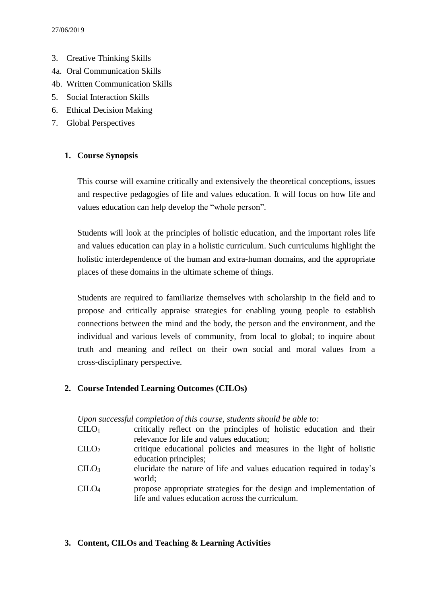- 3. Creative Thinking Skills
- 4a. Oral Communication Skills
- 4b. Written Communication Skills
- 5. Social Interaction Skills
- 6. Ethical Decision Making
- 7. Global Perspectives

### **1. Course Synopsis**

This course will examine critically and extensively the theoretical conceptions, issues and respective pedagogies of life and values education. It will focus on how life and values education can help develop the "whole person".

Students will look at the principles of holistic education, and the important roles life and values education can play in a holistic curriculum. Such curriculums highlight the holistic interdependence of the human and extra-human domains, and the appropriate places of these domains in the ultimate scheme of things.

Students are required to familiarize themselves with scholarship in the field and to propose and critically appraise strategies for enabling young people to establish connections between the mind and the body, the person and the environment, and the individual and various levels of community, from local to global; to inquire about truth and meaning and reflect on their own social and moral values from a cross-disciplinary perspective.

### **2. Course Intended Learning Outcomes (CILOs)**

|                                | Upon successful completion of this course, students should be able to: |
|--------------------------------|------------------------------------------------------------------------|
| CLLO <sub>1</sub>              | critically reflect on the principles of holistic education and their   |
|                                | relevance for life and values education;                               |
| CLLO <sub>2</sub>              | critique educational policies and measures in the light of holistic    |
|                                | education principles;                                                  |
| CLLO <sub>3</sub>              | elucidate the nature of life and values education required in today's  |
|                                | world;                                                                 |
| C <sub>1</sub> LO <sub>4</sub> | propose appropriate strategies for the design and implementation of    |
|                                | life and values education across the curriculum.                       |

#### **3. Content, CILOs and Teaching & Learning Activities**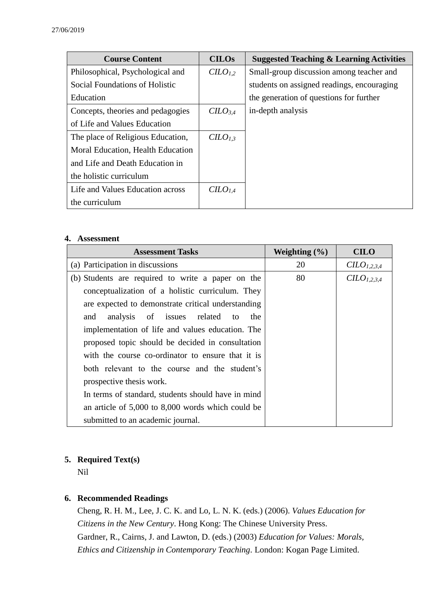| <b>Course Content</b>             | <b>CILOS</b>        | <b>Suggested Teaching &amp; Learning Activities</b> |
|-----------------------------------|---------------------|-----------------------------------------------------|
| Philosophical, Psychological and  | CILO <sub>1,2</sub> | Small-group discussion among teacher and            |
| Social Foundations of Holistic    |                     | students on assigned readings, encouraging          |
| Education                         |                     | the generation of questions for further             |
| Concepts, theories and pedagogies | CILO <sub>3,4</sub> | in-depth analysis                                   |
| of Life and Values Education      |                     |                                                     |
| The place of Religious Education, | CILO <sub>1.3</sub> |                                                     |
| Moral Education, Health Education |                     |                                                     |
| and Life and Death Education in   |                     |                                                     |
| the holistic curriculum           |                     |                                                     |
| Life and Values Education across  | CILO <sub>1.4</sub> |                                                     |
| the curriculum                    |                     |                                                     |

#### **4. Assessment**

| <b>Assessment Tasks</b>                            | Weighting $(\% )$ | <b>CILO</b>     |
|----------------------------------------------------|-------------------|-----------------|
| (a) Participation in discussions                   | 20                | $CLO_{1,2,3,4}$ |
| (b) Students are required to write a paper on the  | 80                | $CLO_{1,2,3,4}$ |
| conceptualization of a holistic curriculum. They   |                   |                 |
| are expected to demonstrate critical understanding |                   |                 |
| analysis of issues related to<br>and<br>the        |                   |                 |
| implementation of life and values education. The   |                   |                 |
| proposed topic should be decided in consultation   |                   |                 |
| with the course co-ordinator to ensure that it is  |                   |                 |
| both relevant to the course and the student's      |                   |                 |
| prospective thesis work.                           |                   |                 |
| In terms of standard, students should have in mind |                   |                 |
| an article of 5,000 to 8,000 words which could be  |                   |                 |
| submitted to an academic journal.                  |                   |                 |

## **5. Required Text(s)**

Nil

# **6. Recommended Readings**

Cheng, R. H. M., Lee, J. C. K. and Lo, L. N. K. (eds.) (2006). *Values Education for Citizens in the New Century*. Hong Kong: The Chinese University Press. Gardner, R., Cairns, J. and Lawton, D. (eds.) (2003) *Education for Values: Morals, Ethics and Citizenship in Contemporary Teaching.* London: Kogan Page Limited.